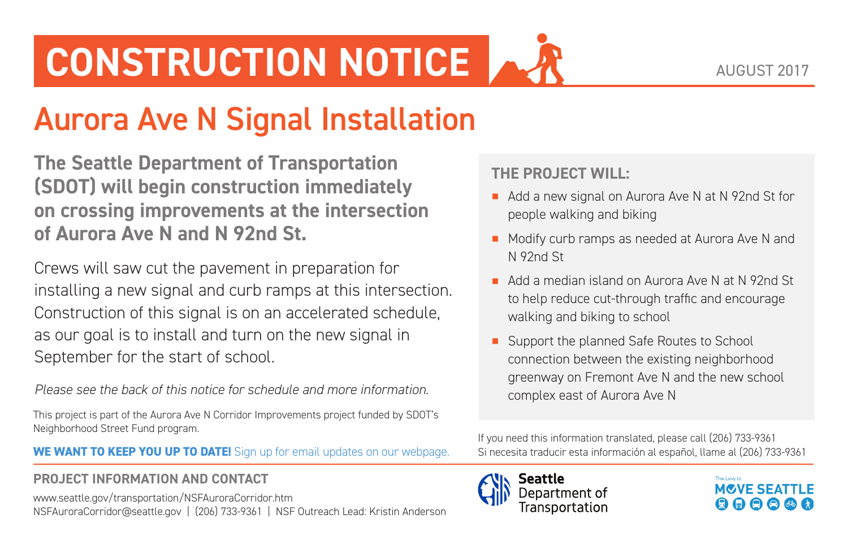# **CONSTRUCTION NOTICE**

## Aurora Ave N Signal Installation

**The Seattle Department of Transportation (SDOT) will begin construction immediately on crossing improvements at the intersection of Aurora Ave N and N 92nd St.**

Crews will saw cut the pavement in preparation for installing a new signal and curb ramps at this intersection. Construction of this signal is on an accelerated schedule, as our goal is to install and turn on the new signal in September for the start of school.

*Please see the back of this notice for schedule and more information.*

This project is part of the Aurora Ave N Corridor Improvements project funded by SDOT's Neighborhood Street Fund program.

#### **WE WANT TO KEEP YOU UP TO DATE!** Sign up for email updates on our webpage.

#### **PROJECT INFORMATION AND CONTACT**

[www.seattle.gov/transportation/NSFAuroraCorridor.htm](http://www.seattle.gov/transportation/NSFAuroraCorridor.htm) [NSFAuroraCorridor@seattle.gov](mailto:NSFAuroraCorridor@seattle.gov) | (206) 733-9361 | NSF Outreach Lead: Kristin Anderson

### **THE PROJECT WILL:**

- Add a new signal on Aurora Ave N at N 92nd St for people walking and biking
- Modify curb ramps as needed at Aurora Ave N and N 92nd St
- Add a median island on Aurora Ave N at N 92nd St to help reduce cut-through traffic and encourage walking and biking to school
- Support the planned Safe Routes to School connection between the existing neighborhood greenway on Fremont Ave N and the new school complex east of Aurora Ave N

If you need this information translated, please call (206) 733-9361 Si necesita traducir esta información al español, llame al (206) 733-9361